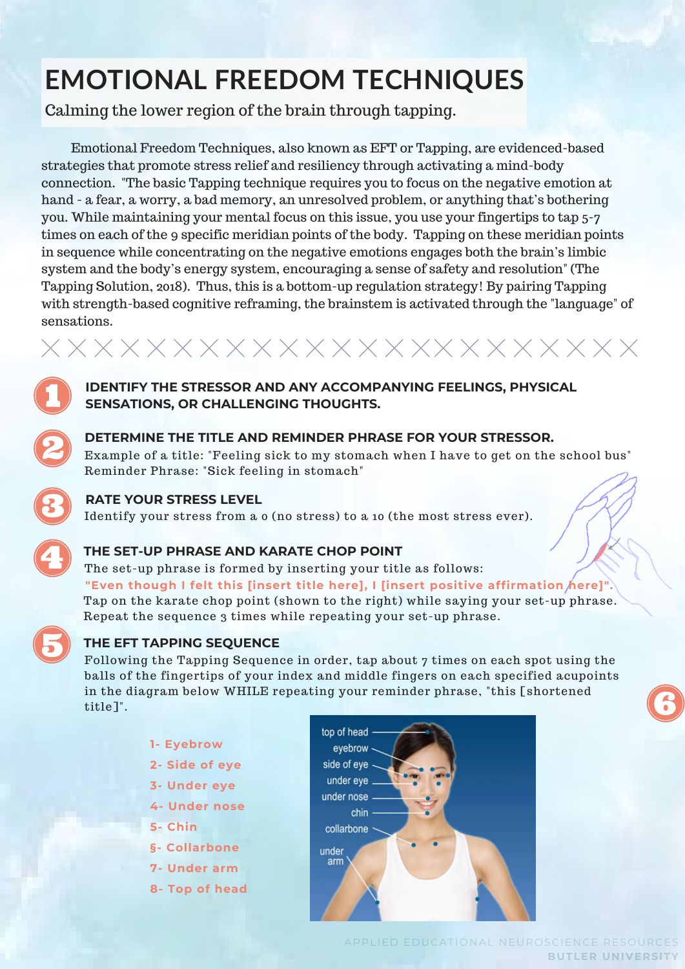# **EMOTIONAL FREEDOM TECHNIQUES**

Calming the lower region of the brain through tapping.

Emotional Freedom Techniques, also known as EFT or Tapping, are evidenced-based strategies that promote stress relief and resiliency through activating a mind-body connection. "The basic Tapping technique requires you to focus on the negative emotion at hand - a fear, a worry, a bad memory, an unresolved problem, or anything that's bothering you. While maintaining your mental focus on this issue, you use your fingertips to tap 5-7 times on each of the 9 specific meridian points of the body. Tapping on these meridian points in sequence while concentrating on the negative emotions engages both the brain's limbic system and the body's energy system, encouraging a sense of safety and resolution" (The Tapping Solution, 2018). Thus, this is a bottom-up regulation strategy! By pairing Tapping with strength-based cognitive reframing, the brainstem is activated through the "language" of sensations.

**IDENTIFY THE STRESSOR AND ANY ACCOMPANYING FEELINGS, PHYSICAL SENSATIONS, OR CHALLENGING THOUGHTS.**



### **DETERMINE THE TITLE AND REMINDER PHRASE FOR YOUR STRESSOR.**

Example of a title: "Feeling sick to my stomach when I have to get on the school bus" Reminder Phrase: "Sick feeling in stomach"

#### **RATE YOUR STRESS LEVEL**

Identify your stress from a 0 (no stress) to a 10 (the most stress ever).

### **THE SET-UP PHRASE AND KARATE CHOP POINT**

The set-up phrase is formed by inserting your title as follows: Tap on the karate chop point (shown to the right) while saying your set-up phrase. Repeat the sequence 3 times while repeating your set-up phrase. **"Even though I felt this [insert title here], I [insert positive affirmation here]".**



### **THE EFT TAPPING SEQUENCE**

Following the Tapping Sequence in order, tap about 7 times on each spot using the balls of the fingertips of your index and middle fingers on each specified acupoints in the diagram below WHILE repeating your reminder phrase, "this [shortened title]".

- **1- Eyebrow**
- **2- Side of eye**
- **3- Under eye**
- **4- Under nose**
- **5- Chin**
- **§- Collarbone**
- **7- Under arm**
- **8- Top of head**